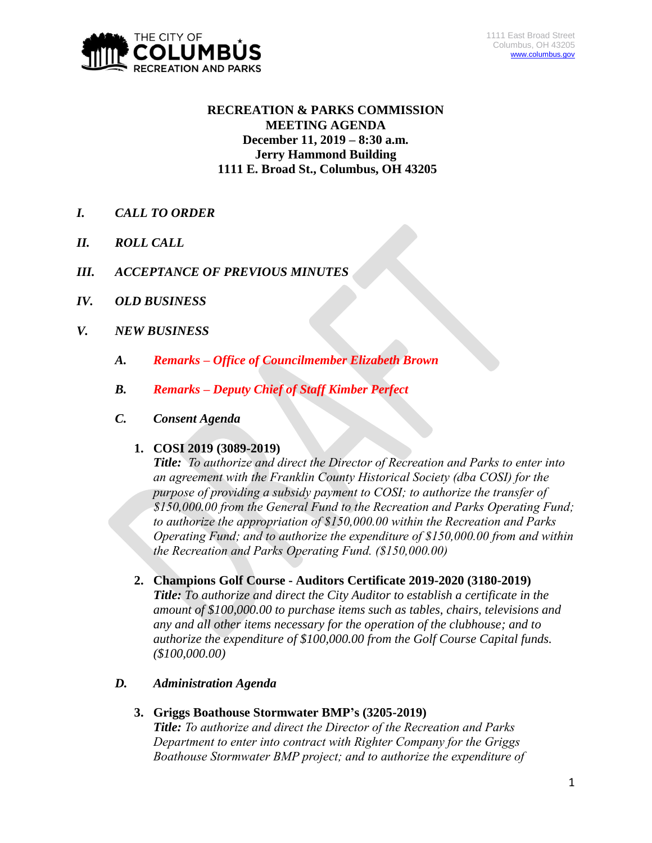

# **RECREATION & PARKS COMMISSION MEETING AGENDA December 11, 2019 – 8:30 a.m. Jerry Hammond Building 1111 E. Broad St., Columbus, OH 43205**

- *I. CALL TO ORDER*
- *II. ROLL CALL*
- *III. ACCEPTANCE OF PREVIOUS MINUTES*
- *IV. OLD BUSINESS*
- *V. NEW BUSINESS*
	- *A. Remarks – Office of Councilmember Elizabeth Brown*
	- *B. Remarks – Deputy Chief of Staff Kimber Perfect*
	- *C. Consent Agenda*

### **1. COSI 2019 (3089-2019)**

*Title: To authorize and direct the Director of Recreation and Parks to enter into an agreement with the Franklin County Historical Society (dba COSI) for the purpose of providing a subsidy payment to COSI; to authorize the transfer of \$150,000.00 from the General Fund to the Recreation and Parks Operating Fund; to authorize the appropriation of \$150,000.00 within the Recreation and Parks Operating Fund; and to authorize the expenditure of \$150,000.00 from and within the Recreation and Parks Operating Fund. (\$150,000.00)*

## **2. Champions Golf Course - Auditors Certificate 2019-2020 (3180-2019)**

*Title: To authorize and direct the City Auditor to establish a certificate in the amount of \$100,000.00 to purchase items such as tables, chairs, televisions and any and all other items necessary for the operation of the clubhouse; and to authorize the expenditure of \$100,000.00 from the Golf Course Capital funds. (\$100,000.00)*

### *D. Administration Agenda*

**3. Griggs Boathouse Stormwater BMP's (3205-2019)**

*Title: To authorize and direct the Director of the Recreation and Parks Department to enter into contract with Righter Company for the Griggs Boathouse Stormwater BMP project; and to authorize the expenditure of*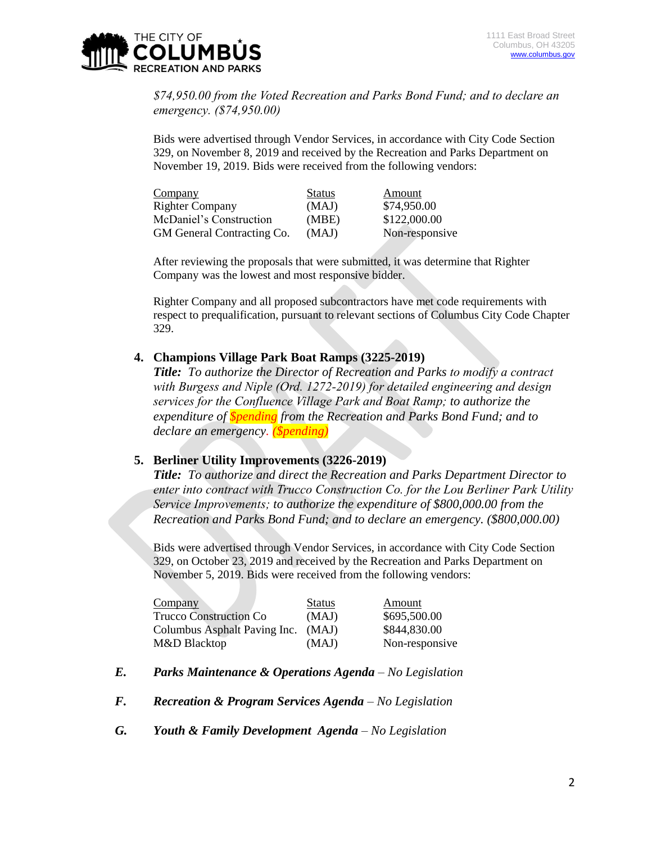

*\$74,950.00 from the Voted Recreation and Parks Bond Fund; and to declare an emergency. (\$74,950.00)*

Bids were advertised through Vendor Services, in accordance with City Code Section 329, on November 8, 2019 and received by the Recreation and Parks Department on November 19, 2019. Bids were received from the following vendors:

| Company                    | <b>Status</b> | Amount         |
|----------------------------|---------------|----------------|
| <b>Righter Company</b>     | (MAJ)         | \$74,950.00    |
| McDaniel's Construction    | (MBE)         | \$122,000.00   |
| GM General Contracting Co. | (MAJ)         | Non-responsive |

After reviewing the proposals that were submitted, it was determine that Righter Company was the lowest and most responsive bidder.

Righter Company and all proposed subcontractors have met code requirements with respect to prequalification, pursuant to relevant sections of Columbus City Code Chapter 329.

### **4. Champions Village Park Boat Ramps (3225-2019)**

*Title: To authorize the Director of Recreation and Parks to modify a contract with Burgess and Niple (Ord. 1272-2019) for detailed engineering and design services for the Confluence Village Park and Boat Ramp; to authorize the expenditure of \$pending from the Recreation and Parks Bond Fund; and to declare an emergency. (\$pending)*

#### **5. Berliner Utility Improvements (3226-2019)**

*Title: To authorize and direct the Recreation and Parks Department Director to enter into contract with Trucco Construction Co. for the Lou Berliner Park Utility Service Improvements; to authorize the expenditure of \$800,000.00 from the Recreation and Parks Bond Fund; and to declare an emergency. (\$800,000.00)*

Bids were advertised through Vendor Services, in accordance with City Code Section 329, on October 23, 2019 and received by the Recreation and Parks Department on November 5, 2019. Bids were received from the following vendors:

| Company                       | <b>Status</b> | Amount         |
|-------------------------------|---------------|----------------|
| <b>Trucco Construction Co</b> | (MAJ)         | \$695,500.00   |
| Columbus Asphalt Paving Inc.  | (MAJ)         | \$844,830.00   |
| M&D Blacktop                  | (MAJ)         | Non-responsive |

- *E. Parks Maintenance & Operations Agenda – No Legislation*
- *F. Recreation & Program Services Agenda – No Legislation*
- *G. Youth & Family Development Agenda – No Legislation*